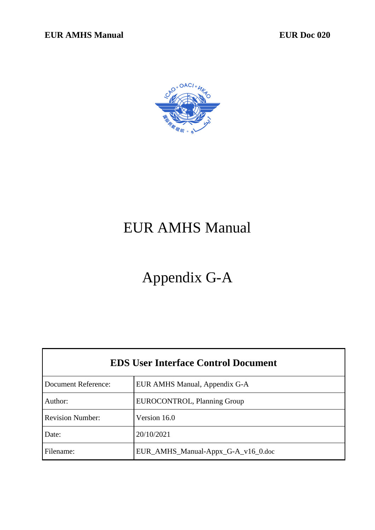

# EUR AMHS Manual

# Appendix G-A

| <b>EDS User Interface Control Document</b> |                                    |  |
|--------------------------------------------|------------------------------------|--|
| <b>Document Reference:</b>                 | EUR AMHS Manual, Appendix G-A      |  |
| Author:                                    | EUROCONTROL, Planning Group        |  |
| <b>Revision Number:</b>                    | Version 16.0                       |  |
| Date:                                      | 20/10/2021                         |  |
| Filename:                                  | EUR_AMHS_Manual-Appx_G-A_v16_0.doc |  |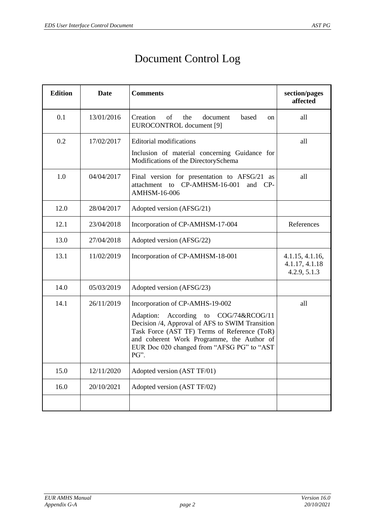## Document Control Log

| <b>Edition</b> | <b>Date</b>                                                                                                                                                                                                                                                                                         | <b>Comments</b>                                                                                                         | section/pages<br>affected                         |
|----------------|-----------------------------------------------------------------------------------------------------------------------------------------------------------------------------------------------------------------------------------------------------------------------------------------------------|-------------------------------------------------------------------------------------------------------------------------|---------------------------------------------------|
| 0.1            | 13/01/2016                                                                                                                                                                                                                                                                                          | Creation<br>of<br>the<br>document<br>based<br>on<br>EUROCONTROL document [9]                                            | all                                               |
| 0.2            | 17/02/2017                                                                                                                                                                                                                                                                                          | <b>Editorial modifications</b><br>Inclusion of material concerning Guidance for<br>Modifications of the DirectorySchema | all                                               |
| 1.0            | 04/04/2017                                                                                                                                                                                                                                                                                          | Final version for presentation to AFSG/21 as<br>attachment to CP-AMHSM-16-001<br>and CP-<br>AMHSM-16-006                | all                                               |
| 12.0           | 28/04/2017                                                                                                                                                                                                                                                                                          | Adopted version (AFSG/21)                                                                                               |                                                   |
| 12.1           | 23/04/2018                                                                                                                                                                                                                                                                                          | Incorporation of CP-AMHSM-17-004                                                                                        | References                                        |
| 13.0           | 27/04/2018                                                                                                                                                                                                                                                                                          | Adopted version (AFSG/22)                                                                                               |                                                   |
| 13.1           | 11/02/2019                                                                                                                                                                                                                                                                                          | Incorporation of CP-AMHSM-18-001                                                                                        | 4.1.15, 4.1.16,<br>4.1.17, 4.1.18<br>4.2.9, 5.1.3 |
| 14.0           | 05/03/2019                                                                                                                                                                                                                                                                                          | Adopted version (AFSG/23)                                                                                               |                                                   |
| 14.1           | 26/11/2019<br>Incorporation of CP-AMHS-19-002<br>to COG/74&RCOG/11<br>Adaption:<br>According<br>Decision /4, Approval of AFS to SWIM Transition<br>Task Force (AST TF) Terms of Reference (ToR)<br>and coherent Work Programme, the Author of<br>EUR Doc 020 changed from "AFSG PG" to "AST<br>PG". |                                                                                                                         | all                                               |
| 15.0           | 12/11/2020                                                                                                                                                                                                                                                                                          | Adopted version (AST TF/01)                                                                                             |                                                   |
| 16.0           | 20/10/2021                                                                                                                                                                                                                                                                                          | Adopted version (AST TF/02)                                                                                             |                                                   |
|                |                                                                                                                                                                                                                                                                                                     |                                                                                                                         |                                                   |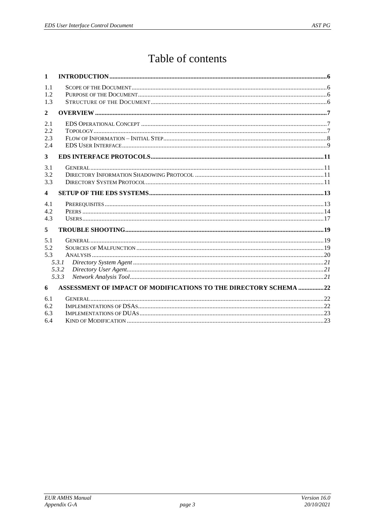## Table of contents

| $\mathbf{1}$             |                                                                  |  |
|--------------------------|------------------------------------------------------------------|--|
| 1.1<br>1.2<br>1.3        |                                                                  |  |
| $\mathbf{2}$             |                                                                  |  |
| 2.1<br>2.2<br>2.3<br>2.4 |                                                                  |  |
| 3                        |                                                                  |  |
| 3.1<br>3.2<br>3.3        |                                                                  |  |
| 4                        |                                                                  |  |
| 4.1<br>4.2<br>4.3        |                                                                  |  |
| 5                        |                                                                  |  |
| 5.1<br>5.2<br>5.3        | 5.3.1<br>5.3.2<br>5.3.3                                          |  |
| 6                        | ASSESSMENT OF IMPACT OF MODIFICATIONS TO THE DIRECTORY SCHEMA 22 |  |
| 6.1<br>6.2<br>6.3<br>6.4 |                                                                  |  |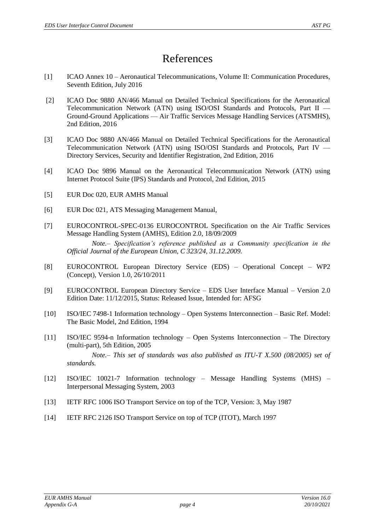## References

- [1] ICAO Annex 10 Aeronautical Telecommunications, Volume II: Communication Procedures, Seventh Edition, July 2016
- [2] ICAO Doc 9880 AN/466 Manual on Detailed Technical Specifications for the Aeronautical Telecommunication Network (ATN) using ISO/OSI Standards and Protocols, Part II — Ground-Ground Applications — Air Traffic Services Message Handling Services (ATSMHS), 2nd Edition, 2016
- <span id="page-3-1"></span>[3] ICAO Doc 9880 AN/466 Manual on Detailed Technical Specifications for the Aeronautical Telecommunication Network (ATN) using ISO/OSI Standards and Protocols, Part IV — Directory Services, Security and Identifier Registration, 2nd Edition, 2016
- <span id="page-3-8"></span>[4] ICAO Doc 9896 Manual on the Aeronautical Telecommunication Network (ATN) using Internet Protocol Suite (IPS) Standards and Protocol, 2nd Edition, 2015
- <span id="page-3-3"></span>[5] EUR Doc 020, EUR AMHS Manual
- <span id="page-3-5"></span>[6] EUR Doc 021, ATS Messaging Management Manual,
- <span id="page-3-4"></span>[7] EUROCONTROL-SPEC-0136 EUROCONTROL Specification on the Air Traffic Services Message Handling System (AMHS), Edition 2.0, 18/09/2009 *Note.– Specification's reference published as a Community specification in the Official Journal of the European Union, C 323/24, 31.12.2009.*
- <span id="page-3-2"></span>[8] EUROCONTROL European Directory Service (EDS) – Operational Concept – WP2 (Concept), Version 1.0, 26/10/2011
- <span id="page-3-0"></span>[9] EUROCONTROL European Directory Service – EDS User Interface Manual – Version 2.0 Edition Date: 11/12/2015, Status: Released Issue, Intended for: AFSG
- <span id="page-3-7"></span>[10] ISO/IEC 7498-1 Information technology – Open Systems Interconnection – Basic Ref. Model: The Basic Model, 2nd Edition, 1994
- <span id="page-3-6"></span>[11] ISO/IEC 9594-n Information technology – Open Systems Interconnection – The Directory (multi-part), 5th Edition, 2005 *Note.– This set of standards was also published as ITU-T X.500 (08/2005) set of standards.*
- [12] ISO/IEC 10021-7 Information technology Message Handling Systems (MHS) Interpersonal Messaging System, 2003
- <span id="page-3-9"></span>[13] IETF RFC 1006 ISO Transport Service on top of the TCP, Version: 3, May 1987
- <span id="page-3-10"></span>[14] IETF RFC 2126 ISO Transport Service on top of TCP (ITOT), March 1997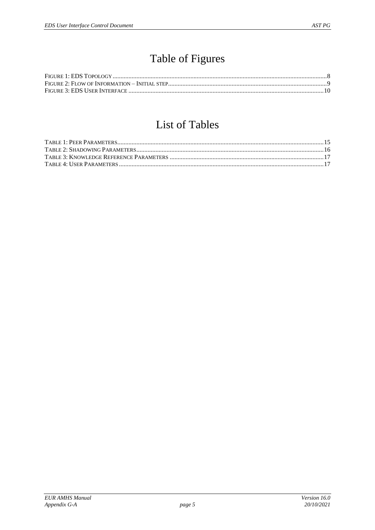## Table of Figures

## **List of Tables**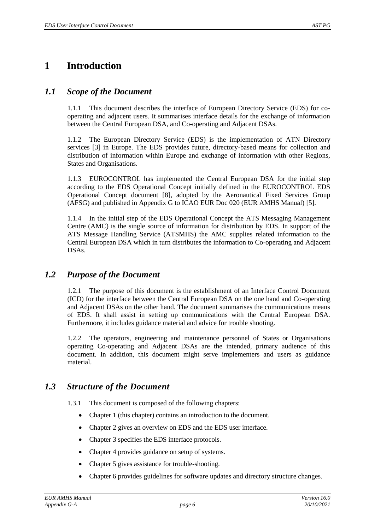## <span id="page-5-0"></span>**1 Introduction**

#### *1.1 Scope of the Document*

1.1.1 This document describes the interface of European Directory Service (EDS) for cooperating and adjacent users. It summarises interface details for the exchange of information between the Central European DSA, and Co-operating and Adjacent DSAs.

1.1.2 The European Directory Service (EDS) is the implementation of ATN Directory services [\[3\]](#page-3-1) in Europe. The EDS provides future, directory-based means for collection and distribution of information within Europe and exchange of information with other Regions, States and Organisations.

1.1.3 EUROCONTROL has implemented the Central European DSA for the initial step according to the EDS Operational Concept initially defined in the EUROCONTROL EDS Operational Concept document [\[8\]](#page-3-2), adopted by the Aeronautical Fixed Services Group (AFSG) and published in Appendix G to ICAO EUR Doc 020 (EUR AMHS Manual) [\[5\]](#page-3-3).

1.1.4 In the initial step of the EDS Operational Concept the ATS Messaging Management Centre (AMC) is the single source of information for distribution by EDS. In support of the ATS Message Handling Service (ATSMHS) the AMC supplies related information to the Central European DSA which in turn distributes the information to Co-operating and Adjacent DSAs.

#### *1.2 Purpose of the Document*

1.2.1 The purpose of this document is the establishment of an Interface Control Document (ICD) for the interface between the Central European DSA on the one hand and Co-operating and Adjacent DSAs on the other hand. The document summarises the communications means of EDS. It shall assist in setting up communications with the Central European DSA. Furthermore, it includes guidance material and advice for trouble shooting.

1.2.2 The operators, engineering and maintenance personnel of States or Organisations operating Co-operating and Adjacent DSAs are the intended, primary audience of this document. In addition, this document might serve implementers and users as guidance material.

#### *1.3 Structure of the Document*

1.3.1 This document is composed of the following chapters:

- Chapter [1](#page-5-0) (this chapter) contains an introduction to the document.
- Chapter [2](#page-6-0) gives an overview on EDS and the EDS user interface.
- Chapter [3](#page-10-0) specifies the EDS interface protocols.
- Chapter [4](#page-12-0) provides guidance on setup of systems.
- Chapter [5](#page-18-0) gives assistance for trouble-shooting.
- Chapter [6](#page-21-0) provides guidelines for software updates and directory structure changes.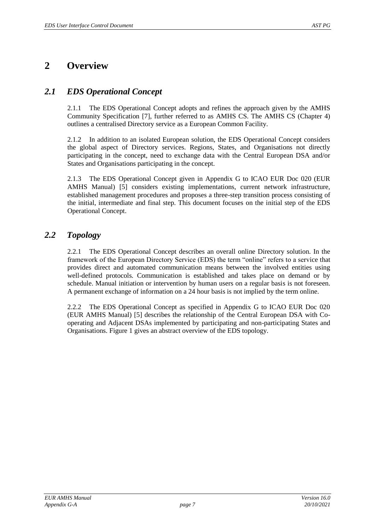## <span id="page-6-0"></span>**2 Overview**

### *2.1 EDS Operational Concept*

2.1.1 The EDS Operational Concept adopts and refines the approach given by the AMHS Community Specification [\[7\]](#page-3-4), further referred to as AMHS CS. The AMHS CS (Chapter 4) outlines a centralised Directory service as a European Common Facility.

2.1.2 In addition to an isolated European solution, the EDS Operational Concept considers the global aspect of Directory services. Regions, States, and Organisations not directly participating in the concept, need to exchange data with the Central European DSA and/or States and Organisations participating in the concept.

2.1.3 The EDS Operational Concept given in Appendix G to ICAO EUR Doc 020 (EUR AMHS Manual) [\[5\]](#page-3-3) considers existing implementations, current network infrastructure, established management procedures and proposes a three-step transition process consisting of the initial, intermediate and final step. This document focuses on the initial step of the EDS Operational Concept.

## *2.2 Topology*

2.2.1 The EDS Operational Concept describes an overall online Directory solution. In the framework of the European Directory Service (EDS) the term "online" refers to a service that provides direct and automated communication means between the involved entities using well-defined protocols. Communication is established and takes place on demand or by schedule. Manual initiation or intervention by human users on a regular basis is not foreseen. A permanent exchange of information on a 24 hour basis is not implied by the term online.

2.2.2 The EDS Operational Concept as specified in Appendix G to ICAO EUR Doc 020 (EUR AMHS Manual) [\[5\]](#page-3-3) describes the relationship of the Central European DSA with Cooperating and Adjacent DSAs implemented by participating and non-participating States and Organisations. [Figure 1](#page-7-0) gives an abstract overview of the EDS topology.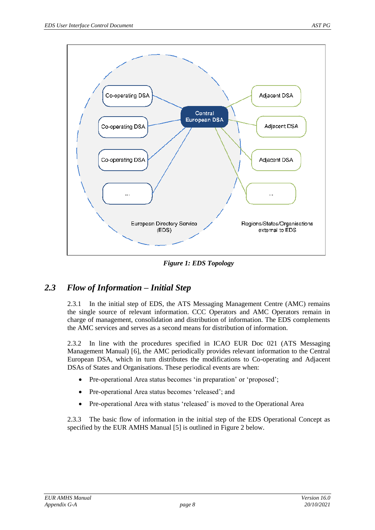

*Figure 1: EDS Topology*

## <span id="page-7-0"></span>*2.3 Flow of Information – Initial Step*

2.3.1 In the initial step of EDS, the ATS Messaging Management Centre (AMC) remains the single source of relevant information. CCC Operators and AMC Operators remain in charge of management, consolidation and distribution of information. The EDS complements the AMC services and serves as a second means for distribution of information.

2.3.2 In line with the procedures specified in ICAO EUR Doc 021 (ATS Messaging Management Manual) [\[6\]](#page-3-5), the AMC periodically provides relevant information to the Central European DSA, which in turn distributes the modifications to Co-operating and Adjacent DSAs of States and Organisations. These periodical events are when:

- Pre-operational Area status becomes 'in preparation' or 'proposed';
- Pre-operational Area status becomes 'released'; and
- Pre-operational Area with status 'released' is moved to the Operational Area

2.3.3 The basic flow of information in the initial step of the EDS Operational Concept as specified by the EUR AMHS Manual [\[5\]](#page-3-3) is outlined i[n Figure 2](#page-8-0) below.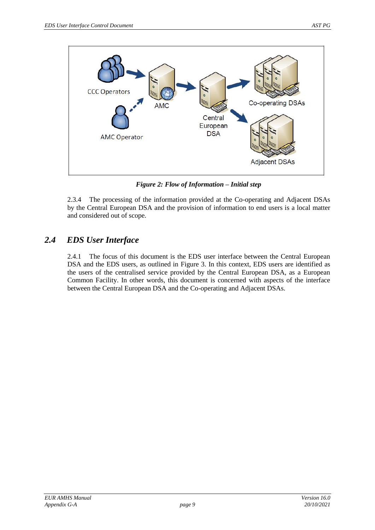

*Figure 2: Flow of Information – Initial step*

<span id="page-8-0"></span>2.3.4 The processing of the information provided at the Co-operating and Adjacent DSAs by the Central European DSA and the provision of information to end users is a local matter and considered out of scope.

## *2.4 EDS User Interface*

2.4.1 The focus of this document is the EDS user interface between the Central European DSA and the EDS users, as outlined in [Figure 3.](#page-9-0) In this context, EDS users are identified as the users of the centralised service provided by the Central European DSA, as a European Common Facility. In other words, this document is concerned with aspects of the interface between the Central European DSA and the Co-operating and Adjacent DSAs.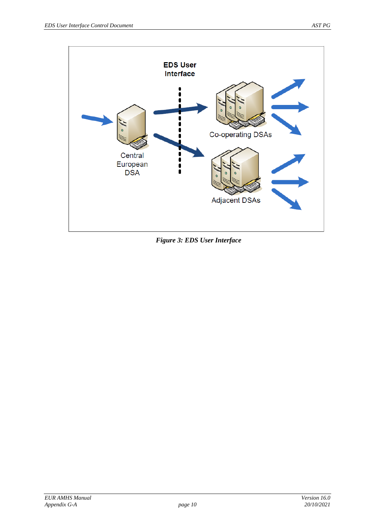

<span id="page-9-0"></span>*Figure 3: EDS User Interface*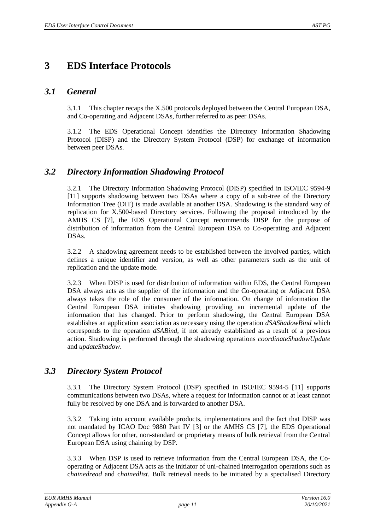## <span id="page-10-0"></span>**3 EDS Interface Protocols**

#### *3.1 General*

3.1.1 This chapter recaps the X.500 protocols deployed between the Central European DSA, and Co-operating and Adjacent DSAs, further referred to as peer DSAs.

3.1.2 The EDS Operational Concept identifies the Directory Information Shadowing Protocol (DISP) and the Directory System Protocol (DSP) for exchange of information between peer DSAs.

#### <span id="page-10-1"></span>*3.2 Directory Information Shadowing Protocol*

3.2.1 The Directory Information Shadowing Protocol (DISP) specified in ISO/IEC 9594-9 [\[11\]](#page-3-6) supports shadowing between two DSAs where a copy of a sub-tree of the Directory Information Tree (DIT) is made available at another DSA. Shadowing is the standard way of replication for X.500-based Directory services. Following the proposal introduced by the AMHS CS [\[7\]](#page-3-4), the EDS Operational Concept recommends DISP for the purpose of distribution of information from the Central European DSA to Co-operating and Adjacent DSAs.

3.2.2 A shadowing agreement needs to be established between the involved parties, which defines a unique identifier and version, as well as other parameters such as the unit of replication and the update mode.

3.2.3 When DISP is used for distribution of information within EDS, the Central European DSA always acts as the supplier of the information and the Co-operating or Adjacent DSA always takes the role of the consumer of the information. On change of information the Central European DSA initiates shadowing providing an incremental update of the information that has changed. Prior to perform shadowing, the Central European DSA establishes an application association as necessary using the operation *dSAShadowBind* which corresponds to the operation *dSABind*, if not already established as a result of a previous action. Shadowing is performed through the shadowing operations *coordinateShadowUpdate*  and *updateShadow*.

### <span id="page-10-2"></span>*3.3 Directory System Protocol*

3.3.1 The Directory System Protocol (DSP) specified in ISO/IEC 9594-5 [\[11\]](#page-3-6) supports communications between two DSAs, where a request for information cannot or at least cannot fully be resolved by one DSA and is forwarded to another DSA.

3.3.2 Taking into account available products, implementations and the fact that DISP was not mandated by ICAO Doc 9880 Part IV [\[3\]](#page-3-1) or the AMHS CS [\[7\]](#page-3-4), the EDS Operational Concept allows for other, non-standard or proprietary means of bulk retrieval from the Central European DSA using chaining by DSP.

3.3.3 When DSP is used to retrieve information from the Central European DSA, the Cooperating or Adjacent DSA acts as the initiator of uni-chained interrogation operations such as c*hainedread* and c*hainedlist*. Bulk retrieval needs to be initiated by a specialised Directory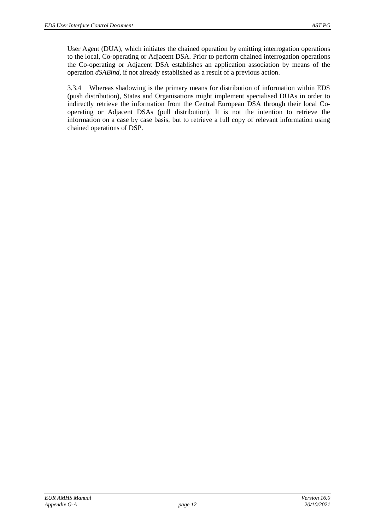User Agent (DUA), which initiates the chained operation by emitting interrogation operations to the local, Co-operating or Adjacent DSA. Prior to perform chained interrogation operations the Co-operating or Adjacent DSA establishes an application association by means of the operation *dSABind*, if not already established as a result of a previous action.

3.3.4 Whereas shadowing is the primary means for distribution of information within EDS (push distribution), States and Organisations might implement specialised DUAs in order to indirectly retrieve the information from the Central European DSA through their local Cooperating or Adjacent DSAs (pull distribution). It is not the intention to retrieve the information on a case by case basis, but to retrieve a full copy of relevant information using chained operations of DSP.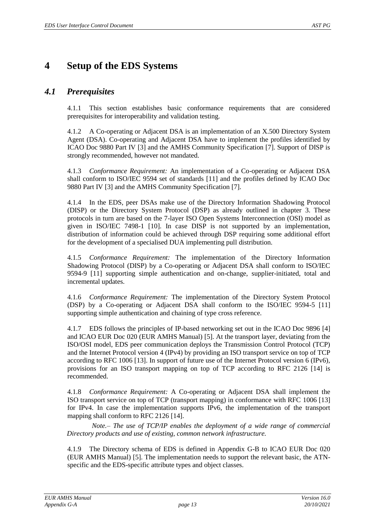## <span id="page-12-0"></span>**4 Setup of the EDS Systems**

#### *4.1 Prerequisites*

4.1.1 This section establishes basic conformance requirements that are considered prerequisites for interoperability and validation testing.

4.1.2 A Co-operating or Adjacent DSA is an implementation of an X.500 Directory System Agent (DSA). Co-operating and Adjacent DSA have to implement the profiles identified by ICAO Doc 9880 Part IV [\[3\]](#page-3-1) and the AMHS Community Specification [\[7\]](#page-3-4). Support of DISP is strongly recommended, however not mandated.

4.1.3 *Conformance Requirement:* An implementation of a Co-operating or Adjacent DSA shall conform to ISO/IEC 9594 set of standards [\[11\]](#page-3-6) and the profiles defined by ICAO Doc 9880 Part IV [\[3\]](#page-3-1) and the AMHS Community Specification [\[7\]](#page-3-4).

4.1.4 In the EDS, peer DSAs make use of the Directory Information Shadowing Protocol (DISP) or the Directory System Protocol (DSP) as already outlined in chapter [3.](#page-10-0) These protocols in turn are based on the 7-layer ISO Open Systems Interconnection (OSI) model as given in ISO/IEC 7498-1 [\[10\]](#page-3-7). In case DISP is not supported by an implementation, distribution of information could be achieved through DSP requiring some additional effort for the development of a specialised DUA implementing pull distribution.

4.1.5 *Conformance Requirement:* The implementation of the Directory Information Shadowing Protocol (DISP) by a Co-operating or Adjacent DSA shall conform to ISO/IEC 9594-9 [\[11\]](#page-3-6) supporting simple authentication and on-change, supplier-initiated, total and incremental updates.

4.1.6 *Conformance Requirement:* The implementation of the Directory System Protocol (DSP) by a Co-operating or Adjacent DSA shall conform to the ISO/IEC 9594-5 [\[11\]](#page-3-6) supporting simple authentication and chaining of type cross reference.

4.1.7 EDS follows the principles of IP-based networking set out in the ICAO Doc 9896 [\[4\]](#page-3-8) and ICAO EUR Doc 020 (EUR AMHS Manual) [\[5\]](#page-3-3). At the transport layer, deviating from the ISO/OSI model, EDS peer communication deploys the Transmission Control Protocol (TCP) and the Internet Protocol version 4 (IPv4) by providing an ISO transport service on top of TCP according to RFC 1006 [\[13\]](#page-3-9). In support of future use of the Internet Protocol version 6 (IPv6), provisions for an ISO transport mapping on top of TCP according to RFC 2126 [\[14\]](#page-3-10) is recommended.

4.1.8 *Conformance Requirement:* A Co-operating or Adjacent DSA shall implement the ISO transport service on top of TCP (transport mapping) in conformance with RFC 1006 [\[13\]](#page-3-9) for IPv4. In case the implementation supports IPv6, the implementation of the transport mapping shall conform to RFC 2126 [\[14\]](#page-3-10).

*Note.– The use of TCP/IP enables the deployment of a wide range of commercial Directory products and use of existing, common network infrastructure.*

4.1.9 The Directory schema of EDS is defined in Appendix G-B to ICAO EUR Doc 020 (EUR AMHS Manual) [\[5\]](#page-3-3). The implementation needs to support the relevant basic, the ATNspecific and the EDS-specific attribute types and object classes.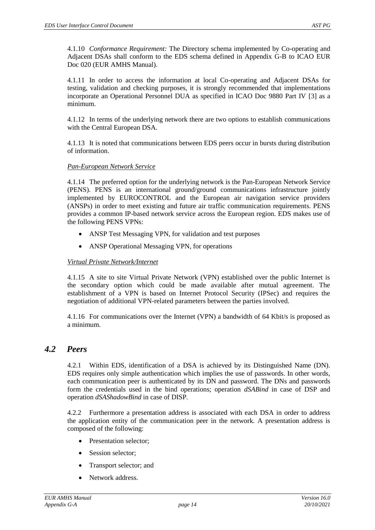4.1.10 *Conformance Requirement:* The Directory schema implemented by Co-operating and Adjacent DSAs shall conform to the EDS schema defined in Appendix G-B to ICAO EUR Doc 020 (EUR AMHS Manual).

4.1.11 In order to access the information at local Co-operating and Adjacent DSAs for testing, validation and checking purposes, it is strongly recommended that implementations incorporate an Operational Personnel DUA as specified in ICAO Doc 9880 Part IV [\[3\]](#page-3-1) as a minimum.

4.1.12 In terms of the underlying network there are two options to establish communications with the Central European DSA.

4.1.13 It is noted that communications between EDS peers occur in bursts during distribution of information.

#### *Pan-European Network Service*

4.1.14 The preferred option for the underlying network is the Pan-European Network Service (PENS). PENS is an international ground/ground communications infrastructure jointly implemented by EUROCONTROL and the European air navigation service providers (ANSPs) in order to meet existing and future air traffic communication requirements. PENS provides a common IP-based network service across the European region. EDS makes use of the following PENS VPNs:

- ANSP Test Messaging VPN, for validation and test purposes
- ANSP Operational Messaging VPN, for operations

#### *Virtual Private Network/Internet*

4.1.15 A site to site Virtual Private Network (VPN) established over the public Internet is the secondary option which could be made available after mutual agreement. The establishment of a VPN is based on Internet Protocol Security (IPSec) and requires the negotiation of additional VPN-related parameters between the parties involved.

4.1.16 For communications over the Internet (VPN) a bandwidth of 64 Kbit/s is proposed as a minimum.

#### *4.2 Peers*

4.2.1 Within EDS, identification of a DSA is achieved by its Distinguished Name (DN). EDS requires only simple authentication which implies the use of passwords. In other words, each communication peer is authenticated by its DN and password. The DNs and passwords form the credentials used in the bind operations; operation *dSABind* in case of DSP and operation *dSAShadowBind* in case of DISP.

4.2.2 Furthermore a presentation address is associated with each DSA in order to address the application entity of the communication peer in the network. A presentation address is composed of the following:

- Presentation selector;
- Session selector;
- Transport selector; and
- Network address.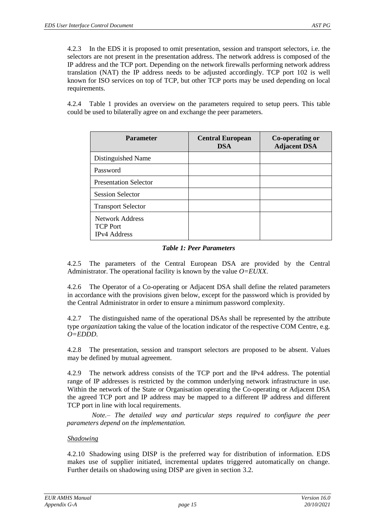4.2.3 In the EDS it is proposed to omit presentation, session and transport selectors, i.e. the selectors are not present in the presentation address. The network address is composed of the IP address and the TCP port. Depending on the network firewalls performing network address translation (NAT) the IP address needs to be adjusted accordingly. TCP port 102 is well known for ISO services on top of TCP, but other TCP ports may be used depending on local requirements.

4.2.4 [Table 1](#page-14-0) provides an overview on the parameters required to setup peers. This table could be used to bilaterally agree on and exchange the peer parameters.

| <b>Parameter</b>                                                 | <b>Central European</b><br><b>DSA</b> | Co-operating or<br><b>Adjacent DSA</b> |
|------------------------------------------------------------------|---------------------------------------|----------------------------------------|
| Distinguished Name                                               |                                       |                                        |
| Password                                                         |                                       |                                        |
| <b>Presentation Selector</b>                                     |                                       |                                        |
| <b>Session Selector</b>                                          |                                       |                                        |
| <b>Transport Selector</b>                                        |                                       |                                        |
| <b>Network Address</b><br><b>TCP Port</b><br><b>IPv4</b> Address |                                       |                                        |

#### *Table 1: Peer Parameters*

<span id="page-14-0"></span>4.2.5 The parameters of the Central European DSA are provided by the Central Administrator. The operational facility is known by the value *O=EUXX*.

4.2.6 The Operator of a Co-operating or Adjacent DSA shall define the related parameters in accordance with the provisions given below, except for the password which is provided by the Central Administrator in order to ensure a minimum password complexity.

4.2.7 The distinguished name of the operational DSAs shall be represented by the attribute type *organization* taking the value of the location indicator of the respective COM Centre, e.g. *O=EDDD*.

4.2.8 The presentation, session and transport selectors are proposed to be absent. Values may be defined by mutual agreement.

4.2.9 The network address consists of the TCP port and the IPv4 address. The potential range of IP addresses is restricted by the common underlying network infrastructure in use. Within the network of the State or Organisation operating the Co-operating or Adjacent DSA the agreed TCP port and IP address may be mapped to a different IP address and different TCP port in line with local requirements.

*Note.– The detailed way and particular steps required to configure the peer parameters depend on the implementation.*

#### *Shadowing*

4.2.10 Shadowing using DISP is the preferred way for distribution of information. EDS makes use of supplier initiated, incremental updates triggered automatically on change. Further details on shadowing using DISP are given in section [3.2.](#page-10-1)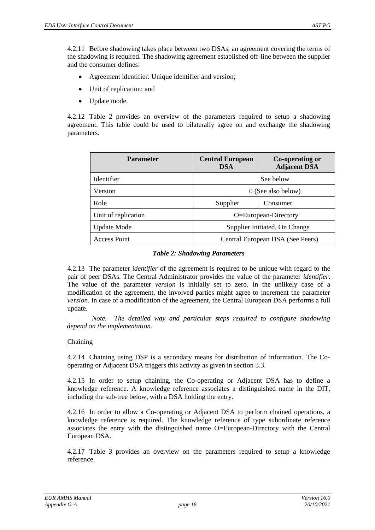4.2.11 Before shadowing takes place between two DSAs, an agreement covering the terms of the shadowing is required. The shadowing agreement established off-line between the supplier and the consumer defines:

- Agreement identifier: Unique identifier and version;
- Unit of replication; and
- Update mode.

4.2.12 [Table 2](#page-15-0) provides an overview of the parameters required to setup a shadowing agreement. This table could be used to bilaterally agree on and exchange the shadowing parameters.

| <b>Parameter</b>    | <b>Central European</b><br><b>DSA</b> | Co-operating or<br><b>Adjacent DSA</b> |
|---------------------|---------------------------------------|----------------------------------------|
| Identifier          | See below                             |                                        |
| Version             | 0 (See also below)                    |                                        |
| Role                | Supplier                              | Consumer                               |
| Unit of replication | O=European-Directory                  |                                        |
| <b>Update Mode</b>  | Supplier Initiated, On Change         |                                        |
| Access Point        |                                       | Central European DSA (See Peers)       |

#### *Table 2: Shadowing Parameters*

<span id="page-15-0"></span>4.2.13 The parameter *identifier* of the agreement is required to be unique with regard to the pair of peer DSAs. The Central Administrator provides the value of the parameter *identifier*. The value of the parameter *version* is initially set to zero. In the unlikely case of a modification of the agreement, the involved parties might agree to increment the parameter *version*. In case of a modification of the agreement, the Central European DSA performs a full update.

*Note.– The detailed way and particular steps required to configure shadowing depend on the implementation.*

#### Chaining

4.2.14 Chaining using DSP is a secondary means for distribution of information. The Cooperating or Adjacent DSA triggers this activity as given in section [3.3.](#page-10-2)

4.2.15 In order to setup chaining, the Co-operating or Adjacent DSA has to define a knowledge reference. A knowledge reference associates a distinguished name in the DIT, including the sub-tree below, with a DSA holding the entry.

4.2.16 In order to allow a Co-operating or Adjacent DSA to perform chained operations, a knowledge reference is required. The knowledge reference of type subordinate reference associates the entry with the distinguished name O=European-Directory with the Central European DSA.

4.2.17 [Table 3](#page-16-0) provides an overview on the parameters required to setup a knowledge reference.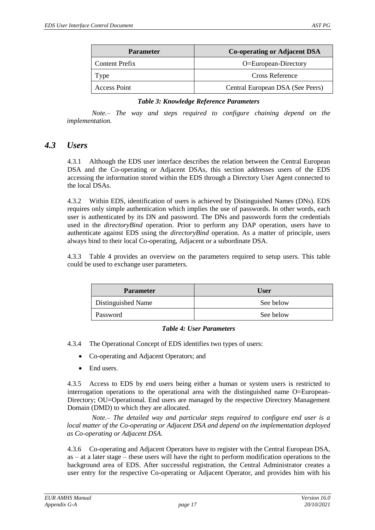| <b>Parameter</b> | <b>Co-operating or Adjacent DSA</b> |
|------------------|-------------------------------------|
| Content Prefix   | O=European-Directory                |
| Type             | Cross Reference                     |
| Access Point     | Central European DSA (See Peers)    |

#### *Table 3: Knowledge Reference Parameters*

<span id="page-16-0"></span>*Note.– The way and steps required to configure chaining depend on the implementation.*

#### *4.3 Users*

4.3.1 Although the EDS user interface describes the relation between the Central European DSA and the Co-operating or Adjacent DSAs, this section addresses users of the EDS accessing the information stored within the EDS through a Directory User Agent connected to the local DSAs.

4.3.2 Within EDS, identification of users is achieved by Distinguished Names (DNs). EDS requires only simple authentication which implies the use of passwords. In other words, each user is authenticated by its DN and password. The DNs and passwords form the credentials used in the *directoryBind* operation. Prior to perform any DAP operation, users have to authenticate against EDS using the *directoryBind* operation. As a matter of principle, users always bind to their local Co-operating, Adjacent or a subordinate DSA.

4.3.3 [Table 4](#page-16-1) provides an overview on the parameters required to setup users. This table could be used to exchange user parameters.

| <b>Parameter</b>   | <b>User</b> |
|--------------------|-------------|
| Distinguished Name | See below   |
| Password           | See below   |

#### *Table 4: User Parameters*

- <span id="page-16-1"></span>4.3.4 The Operational Concept of EDS identifies two types of users:
	- Co-operating and Adjacent Operators; and
	- End users.

4.3.5 Access to EDS by end users being either a human or system users is restricted to interrogation operations to the operational area with the distinguished name O=European-Directory; OU=Operational. End users are managed by the respective Directory Management Domain (DMD) to which they are allocated.

*Note.– The detailed way and particular steps required to configure end user is a local matter of the Co-operating or Adjacent DSA and depend on the implementation deployed as Co-operating or Adjacent DSA.*

4.3.6 Co-operating and Adjacent Operators have to register with the Central European DSA, as – at a later stage – these users will have the right to perform modification operations to the background area of EDS. After successful registration, the Central Administrator creates a user entry for the respective Co-operating or Adjacent Operator, and provides him with his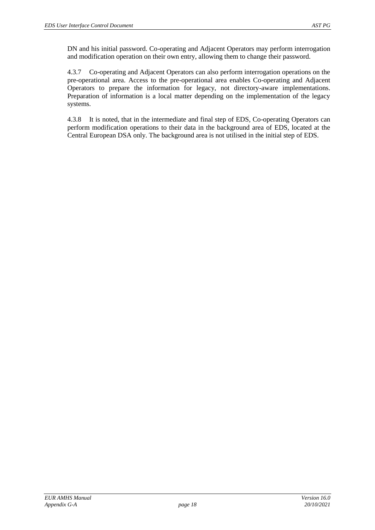DN and his initial password. Co-operating and Adjacent Operators may perform interrogation and modification operation on their own entry, allowing them to change their password.

4.3.7 Co-operating and Adjacent Operators can also perform interrogation operations on the pre-operational area. Access to the pre-operational area enables Co-operating and Adjacent Operators to prepare the information for legacy, not directory-aware implementations. Preparation of information is a local matter depending on the implementation of the legacy systems.

4.3.8 It is noted, that in the intermediate and final step of EDS, Co-operating Operators can perform modification operations to their data in the background area of EDS, located at the Central European DSA only. The background area is not utilised in the initial step of EDS.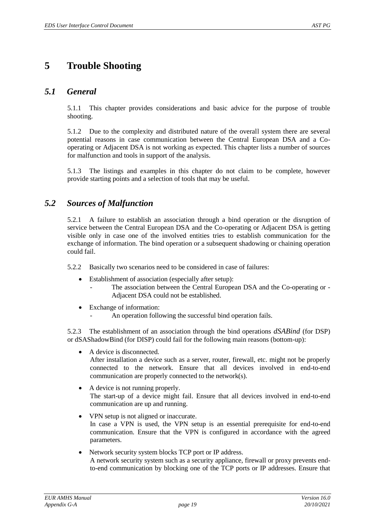## <span id="page-18-0"></span>**5 Trouble Shooting**

#### *5.1 General*

5.1.1 This chapter provides considerations and basic advice for the purpose of trouble shooting.

5.1.2 Due to the complexity and distributed nature of the overall system there are several potential reasons in case communication between the Central European DSA and a Cooperating or Adjacent DSA is not working as expected. This chapter lists a number of sources for malfunction and tools in support of the analysis.

5.1.3 The listings and examples in this chapter do not claim to be complete, however provide starting points and a selection of tools that may be useful.

#### *5.2 Sources of Malfunction*

5.2.1 A failure to establish an association through a bind operation or the disruption of service between the Central European DSA and the Co-operating or Adjacent DSA is getting visible only in case one of the involved entities tries to establish communication for the exchange of information. The bind operation or a subsequent shadowing or chaining operation could fail.

5.2.2 Basically two scenarios need to be considered in case of failures:

- Establishment of association (especially after setup):
	- The association between the Central European DSA and the Co-operating or -Adjacent DSA could not be established.
- Exchange of information:
	- An operation following the successful bind operation fails.

5.2.3 The establishment of an association through the bind operations *dSABind* (for DSP) or dSAShadowBind (for DISP) could fail for the following main reasons (bottom-up):

- A device is disconnected. After installation a device such as a server, router, firewall, etc. might not be properly connected to the network. Ensure that all devices involved in end-to-end communication are properly connected to the network(s).
- A device is not running properly. The start-up of a device might fail. Ensure that all devices involved in end-to-end communication are up and running.
- VPN setup is not aligned or inaccurate. In case a VPN is used, the VPN setup is an essential prerequisite for end-to-end communication. Ensure that the VPN is configured in accordance with the agreed parameters.
- Network security system blocks TCP port or IP address. A network security system such as a security appliance, firewall or proxy prevents endto-end communication by blocking one of the TCP ports or IP addresses. Ensure that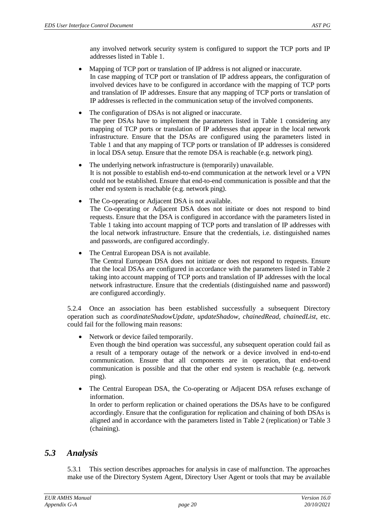any involved network security system is configured to support the TCP ports and IP addresses listed i[n Table 1.](#page-14-0)

- Mapping of TCP port or translation of IP address is not aligned or inaccurate. In case mapping of TCP port or translation of IP address appears, the configuration of involved devices have to be configured in accordance with the mapping of TCP ports and translation of IP addresses. Ensure that any mapping of TCP ports or translation of IP addresses is reflected in the communication setup of the involved components.
- The configuration of DSAs is not aligned or inaccurate. The peer DSAs have to implement the parameters listed in [Table 1](#page-14-0) considering any mapping of TCP ports or translation of IP addresses that appear in the local network infrastructure. Ensure that the DSAs are configured using the parameters listed in [Table 1](#page-14-0) and that any mapping of TCP ports or translation of IP addresses is considered in local DSA setup. Ensure that the remote DSA is reachable (e.g. network ping).
- The underlying network infrastructure is (temporarily) unavailable. It is not possible to establish end-to-end communication at the network level or a VPN could not be established. Ensure that end-to-end communication is possible and that the other end system is reachable (e.g. network ping).
- The Co-operating or Adjacent DSA is not available. The Co-operating or Adjacent DSA does not initiate or does not respond to bind requests. Ensure that the DSA is configured in accordance with the parameters listed in [Table 1](#page-14-0) taking into account mapping of TCP ports and translation of IP addresses with the local network infrastructure. Ensure that the credentials, i.e. distinguished names and passwords, are configured accordingly.
- The Central European DSA is not available. The Central European DSA does not initiate or does not respond to requests. Ensure that the local DSAs are configured in accordance with the parameters listed in Table 2 taking into account mapping of TCP ports and translation of IP addresses with the local network infrastructure. Ensure that the credentials (distinguished name and password) are configured accordingly.

5.2.4 Once an association has been established successfully a subsequent Directory operation such as *coordinateShadowUpdate*, *updateShadow*, *chainedRead*, *chainedList*, etc. could fail for the following main reasons:

• Network or device failed temporarily.

Even though the bind operation was successful, any subsequent operation could fail as a result of a temporary outage of the network or a device involved in end-to-end communication. Ensure that all components are in operation, that end-to-end communication is possible and that the other end system is reachable (e.g. network ping).

• The Central European DSA, the Co-operating or Adjacent DSA refuses exchange of information.

In order to perform replication or chained operations the DSAs have to be configured accordingly. Ensure that the configuration for replication and chaining of both DSAs is aligned and in accordance with the parameters listed in [Table 2](#page-15-0) (replication) or [Table 3](#page-16-0) (chaining).

### *5.3 Analysis*

5.3.1 This section describes approaches for analysis in case of malfunction. The approaches make use of the Directory System Agent, Directory User Agent or tools that may be available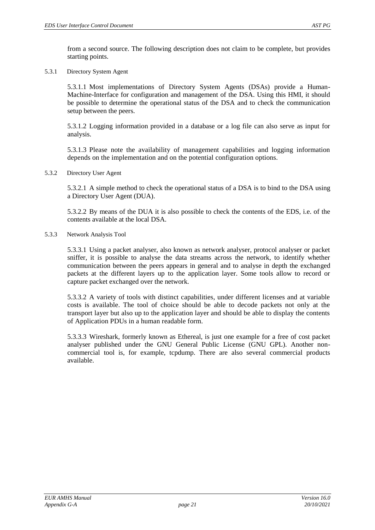5.3.1 Directory System Agent

starting points.

5.3.1.1 Most implementations of Directory System Agents (DSAs) provide a Human-Machine-Interface for configuration and management of the DSA. Using this HMI, it should be possible to determine the operational status of the DSA and to check the communication setup between the peers.

5.3.1.2 Logging information provided in a database or a log file can also serve as input for analysis.

5.3.1.3 Please note the availability of management capabilities and logging information depends on the implementation and on the potential configuration options.

5.3.2 Directory User Agent

5.3.2.1 A simple method to check the operational status of a DSA is to bind to the DSA using a Directory User Agent (DUA).

5.3.2.2 By means of the DUA it is also possible to check the contents of the EDS, i.e. of the contents available at the local DSA.

5.3.3 Network Analysis Tool

5.3.3.1 Using a packet analyser, also known as network analyser, protocol analyser or packet sniffer, it is possible to analyse the data streams across the network, to identify whether communication between the peers appears in general and to analyse in depth the exchanged packets at the different layers up to the application layer. Some tools allow to record or capture packet exchanged over the network.

5.3.3.2 A variety of tools with distinct capabilities, under different licenses and at variable costs is available. The tool of choice should be able to decode packets not only at the transport layer but also up to the application layer and should be able to display the contents of Application PDUs in a human readable form.

5.3.3.3 Wireshark, formerly known as Ethereal, is just one example for a free of cost packet analyser published under the GNU General Public License (GNU GPL). Another noncommercial tool is, for example, tcpdump. There are also several commercial products available.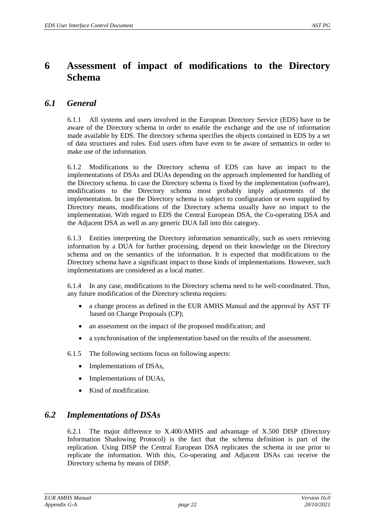## <span id="page-21-0"></span>**6 Assessment of impact of modifications to the Directory Schema**

### *6.1 General*

6.1.1 All systems and users involved in the European Directory Service (EDS) have to be aware of the Directory schema in order to enable the exchange and the use of information made available by EDS. The directory schema specifies the objects contained in EDS by a set of data structures and rules. End users often have even to be aware of semantics in order to make use of the information.

6.1.2 Modifications to the Directory schema of EDS can have an impact to the implementations of DSAs and DUAs depending on the approach implemented for handling of the Directory schema. In case the Directory schema is fixed by the implementation (software), modifications to the Directory schema most probably imply adjustments of the implementation. In case the Directory schema is subject to configuration or even supplied by Directory means, modifications of the Directory schema usually have no impact to the implementation. With regard to EDS the Central European DSA, the Co-operating DSA and the Adjacent DSA as well as any generic DUA fall into this category.

6.1.3 Entities interpreting the Directory information semantically, such as users retrieving information by a DUA for further processing, depend on their knowledge on the Directory schema and on the semantics of the information. It is expected that modifications to the Directory schema have a significant impact to those kinds of implementations. However, such implementations are considered as a local matter.

6.1.4 In any case, modifications to the Directory schema need to be well-coordinated. Thus, any future modification of the Directory schema requires:

- a change process as defined in the EUR AMHS Manual and the approval by AST TF based on Change Proposals (CP);
- an assessment on the impact of the proposed modification; and
- a synchronisation of the implementation based on the results of the assessment.
- 6.1.5 The following sections focus on following aspects:
	- Implementations of DSAs,
	- Implementations of DUAs,
	- Kind of modification.

#### *6.2 Implementations of DSAs*

6.2.1 The major difference to X.400/AMHS and advantage of X.500 DISP (Directory Information Shadowing Protocol) is the fact that the schema definition is part of the replication. Using DISP the Central European DSA replicates the schema in use prior to replicate the information. With this, Co-operating and Adjacent DSAs can receive the Directory schema by means of DISP.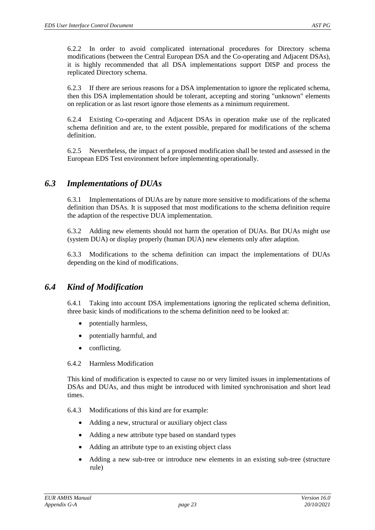6.2.2 In order to avoid complicated international procedures for Directory schema modifications (between the Central European DSA and the Co-operating and Adjacent DSAs), it is highly recommended that all DSA implementations support DISP and process the replicated Directory schema.

6.2.3 If there are serious reasons for a DSA implementation to ignore the replicated schema, then this DSA implementation should be tolerant, accepting and storing "unknown" elements on replication or as last resort ignore those elements as a minimum requirement.

6.2.4 Existing Co-operating and Adjacent DSAs in operation make use of the replicated schema definition and are, to the extent possible, prepared for modifications of the schema definition.

6.2.5 Nevertheless, the impact of a proposed modification shall be tested and assessed in the European EDS Test environment before implementing operationally.

#### *6.3 Implementations of DUAs*

6.3.1 Implementations of DUAs are by nature more sensitive to modifications of the schema definition than DSAs. It is supposed that most modifications to the schema definition require the adaption of the respective DUA implementation.

6.3.2 Adding new elements should not harm the operation of DUAs. But DUAs might use (system DUA) or display properly (human DUA) new elements only after adaption.

6.3.3 Modifications to the schema definition can impact the implementations of DUAs depending on the kind of modifications.

### *6.4 Kind of Modification*

6.4.1 Taking into account DSA implementations ignoring the replicated schema definition, three basic kinds of modifications to the schema definition need to be looked at:

- potentially harmless,
- potentially harmful, and
- conflicting.
- 6.4.2 Harmless Modification

This kind of modification is expected to cause no or very limited issues in implementations of DSAs and DUAs, and thus might be introduced with limited synchronisation and short lead times.

6.4.3 Modifications of this kind are for example:

- Adding a new, structural or auxiliary object class
- Adding a new attribute type based on standard types
- Adding an attribute type to an existing object class
- Adding a new sub-tree or introduce new elements in an existing sub-tree (structure rule)